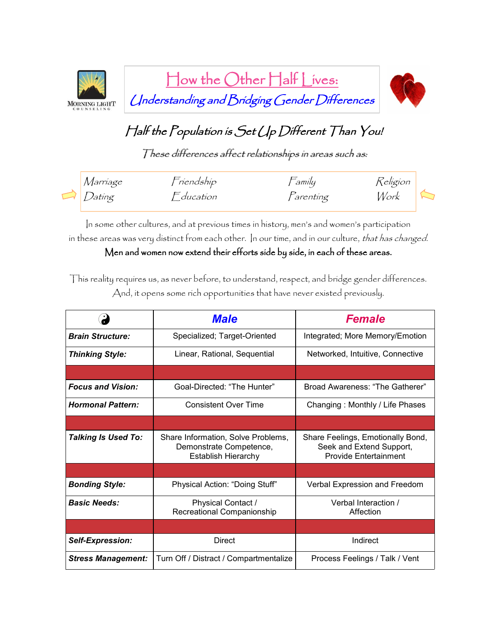

How the Other Half Lives: Understanding and Bridging Gender Differences



## Half the Population is Set Up Different Than You!

These differences affect relationships in areas such as:

| Marríage      | Friendship | $\Xi$ amíly      | Religion |  |
|---------------|------------|------------------|----------|--|
| $\Box$ Dating | Fducation  | <i>Farenting</i> | Work     |  |

In some other cultures, and at previous times in history, men's and women's participation in these areas was very distinct from each other. In our time, and in our culture, that has changed.

Men and women now extend their efforts side by side, in each of these areas.

This reality requires us, as never before, to understand, respect, and bridge gender differences. And, it opens some rich opportunities that have never existed previously.

|                            | <b>Male</b>                                                                                 | <b>Female</b>                                                                                 |  |
|----------------------------|---------------------------------------------------------------------------------------------|-----------------------------------------------------------------------------------------------|--|
| <b>Brain Structure:</b>    | Specialized; Target-Oriented                                                                | Integrated; More Memory/Emotion                                                               |  |
| <b>Thinking Style:</b>     | Linear, Rational, Sequential                                                                | Networked, Intuitive, Connective                                                              |  |
|                            |                                                                                             |                                                                                               |  |
| <b>Focus and Vision:</b>   | Goal-Directed: "The Hunter"                                                                 | Broad Awareness: "The Gatherer"                                                               |  |
| <b>Hormonal Pattern:</b>   | Consistent Over Time                                                                        | Changing: Monthly / Life Phases                                                               |  |
|                            |                                                                                             |                                                                                               |  |
| <b>Talking Is Used To:</b> | Share Information, Solve Problems,<br>Demonstrate Competence,<br><b>Establish Hierarchy</b> | Share Feelings, Emotionally Bond,<br>Seek and Extend Support,<br><b>Provide Entertainment</b> |  |
|                            |                                                                                             |                                                                                               |  |
| <b>Bonding Style:</b>      | Physical Action: "Doing Stuff"                                                              | Verbal Expression and Freedom                                                                 |  |
| <b>Basic Needs:</b>        | Physical Contact /<br>Recreational Companionship                                            | Verbal Interaction /<br>Affection                                                             |  |
|                            |                                                                                             |                                                                                               |  |
| <b>Self-Expression:</b>    | <b>Direct</b>                                                                               | Indirect                                                                                      |  |
| <b>Stress Management:</b>  | Turn Off / Distract / Compartmentalize                                                      | Process Feelings / Talk / Vent                                                                |  |